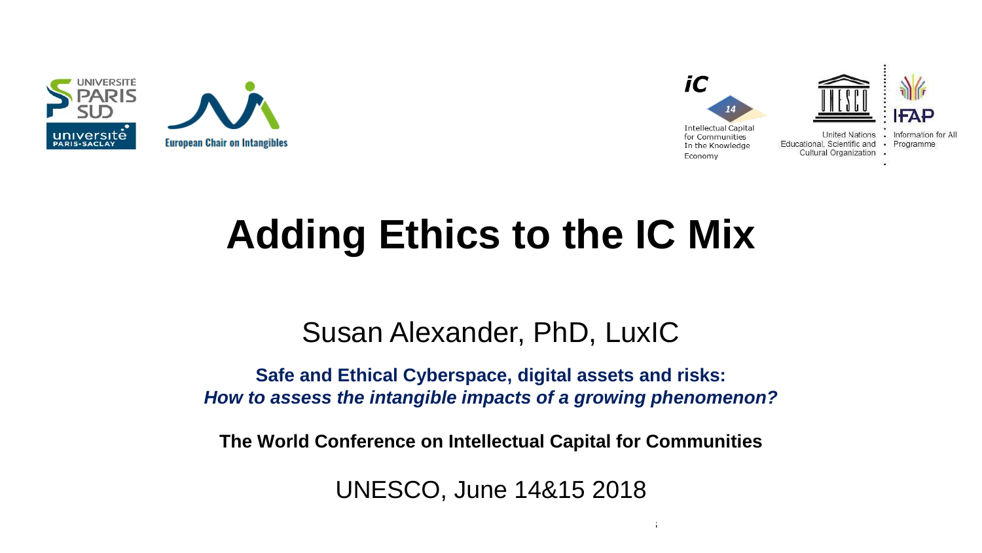



# **Adding Ethics to the IC Mix**

#### Susan Alexander, PhD, LuxIC

**Safe and Ethical Cyberspace, digital assets and risks:**  *How to assess the intangible impacts of a growing phenomenon?*

**The World Conference on Intellectual Capital for Communities**

UNESCO, June 14&15 2018

 $14\pm 15$ th June 2018 The World Conference on Intellectual Capital for Communities on Intellectual for Communities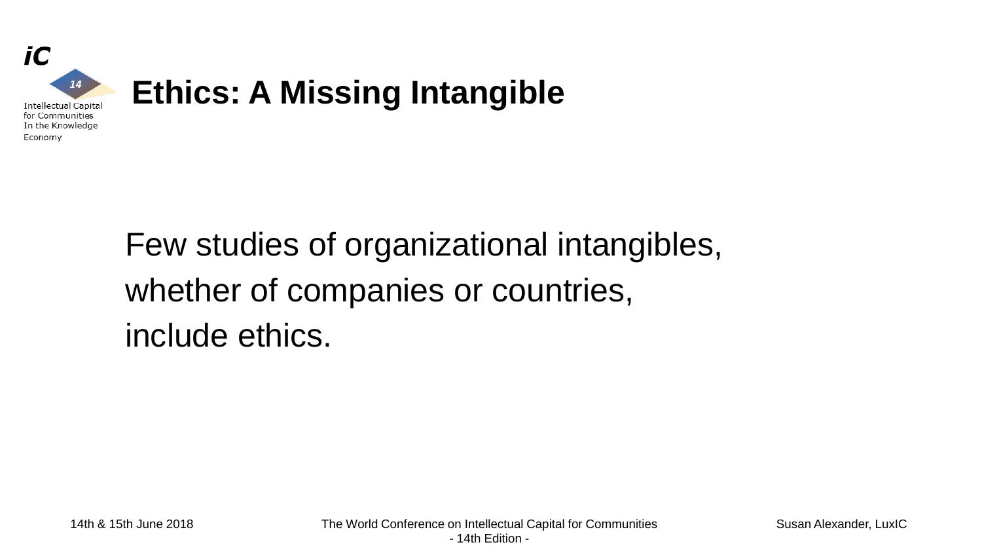

Few studies of organizational intangibles, whether of companies or countries, include ethics.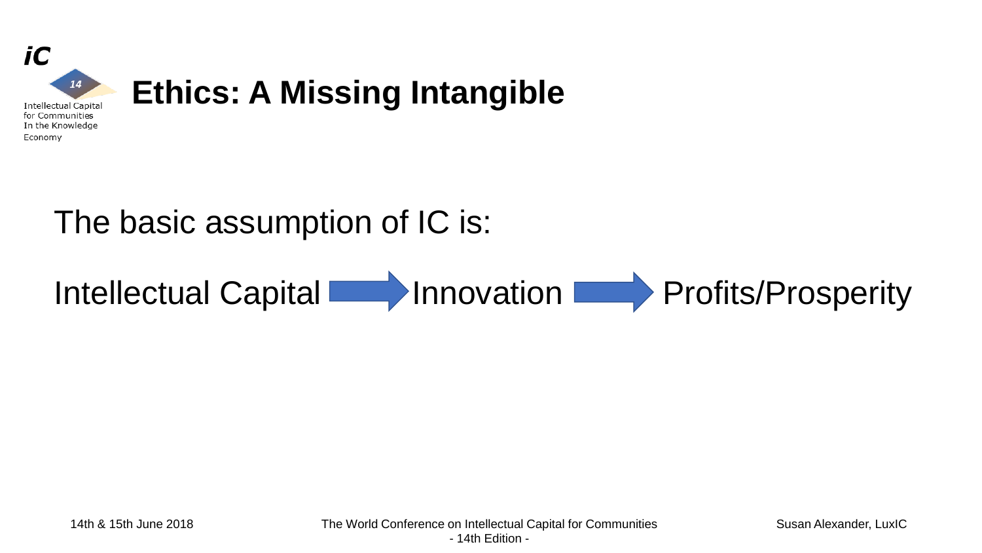

### The basic assumption of IC is:

# Intellectual Capital **Innovation Profits/Prosperity**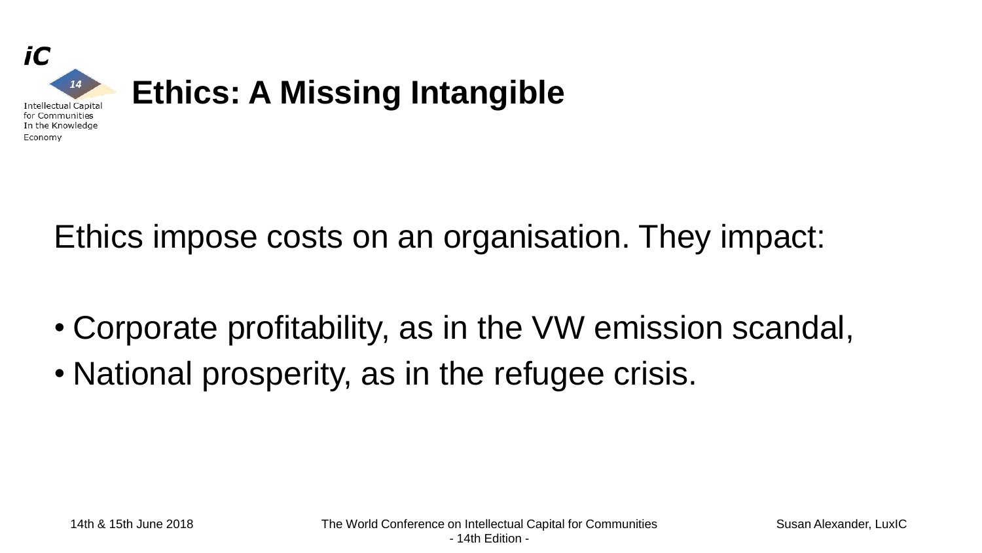

Ethics impose costs on an organisation. They impact:

- Corporate profitability, as in the VW emission scandal,
- National prosperity, as in the refugee crisis.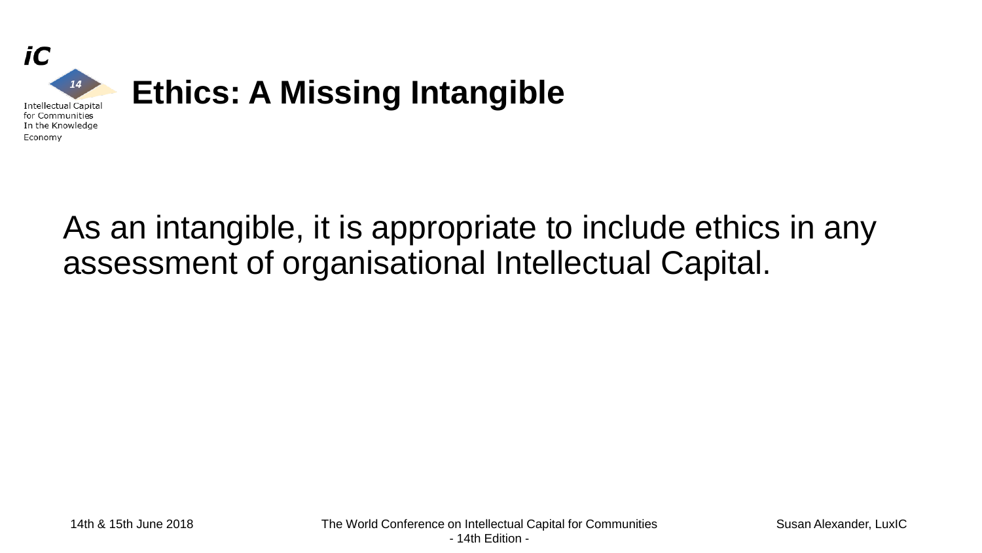

### As an intangible, it is appropriate to include ethics in any assessment of organisational Intellectual Capital.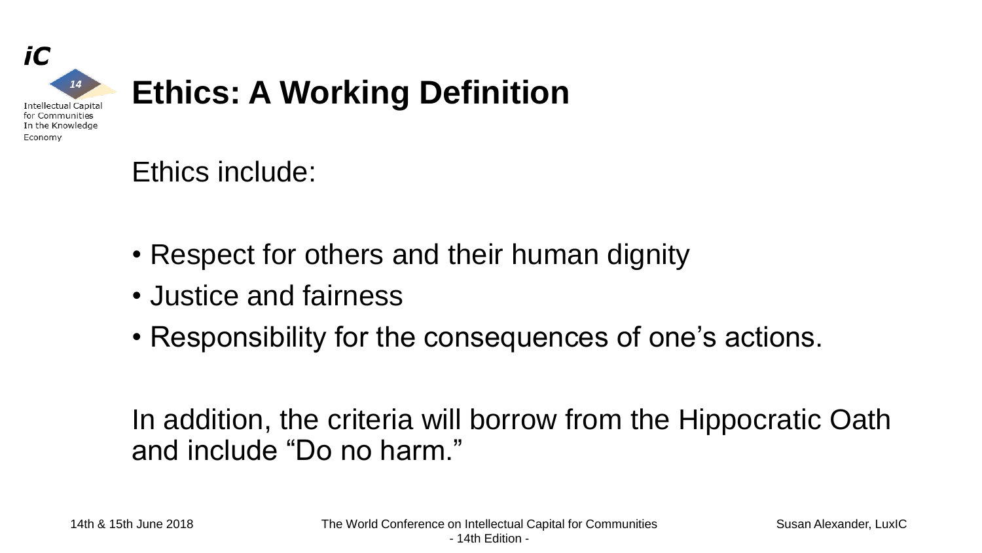

### Ethics include:

- Respect for others and their human dignity
- Justice and fairness
- Responsibility for the consequences of one's actions.

In addition, the criteria will borrow from the Hippocratic Oath and include "Do no harm."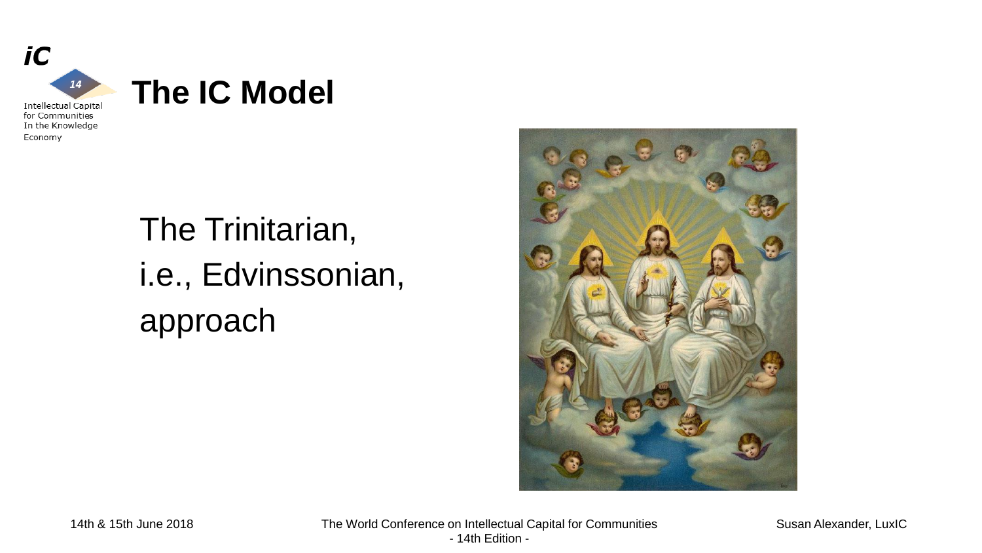

Economy

## The Trinitarian, i.e., Edvinssonian, approach



14th & 15th June 2018 The World Conference on Intellectual Capital for Communities - 14th Edition -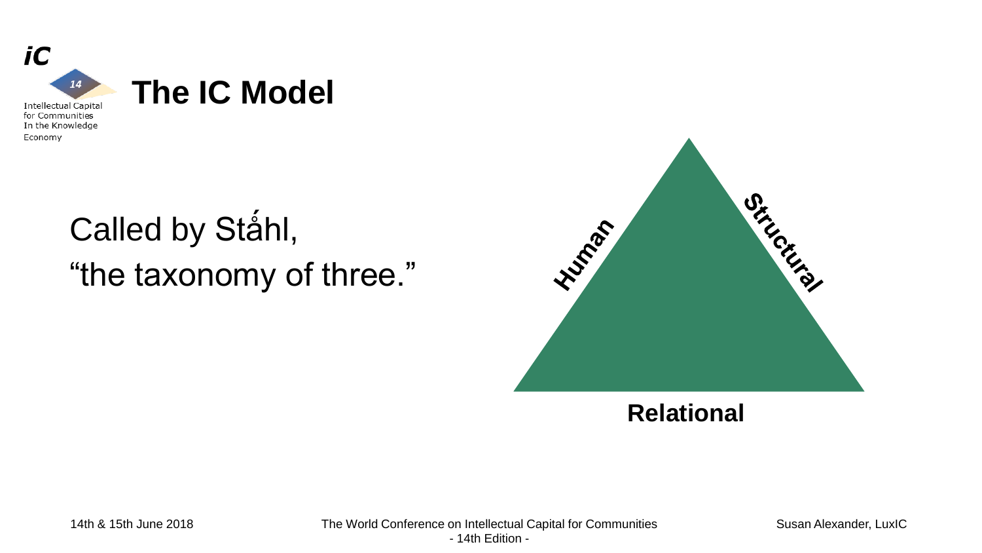

In the Knowledge Economy

# Called by Ståhl, "the taxonomy of three."



**Relational**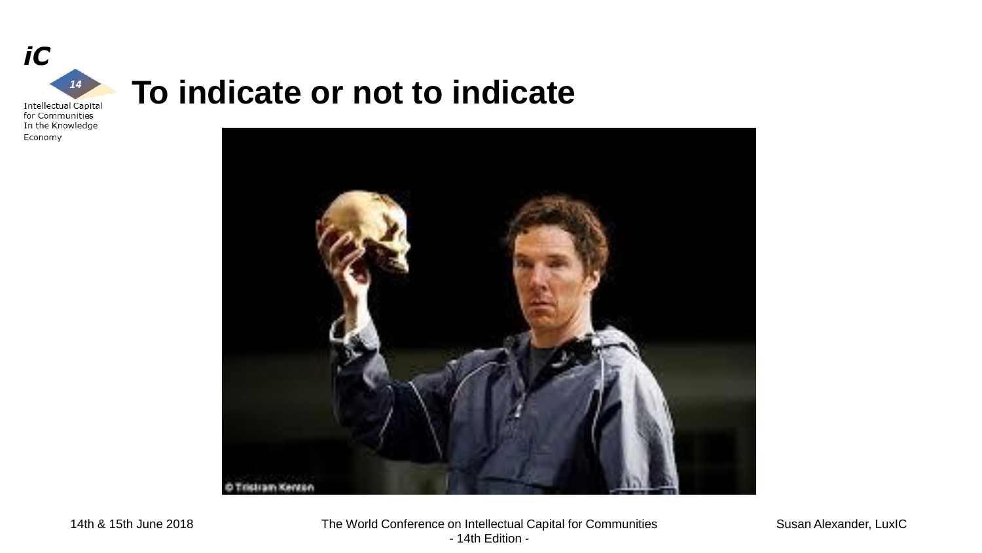

Economy

#### **To indicate or not to indicate**

stram Kenton

Susan Alexander, LuxIC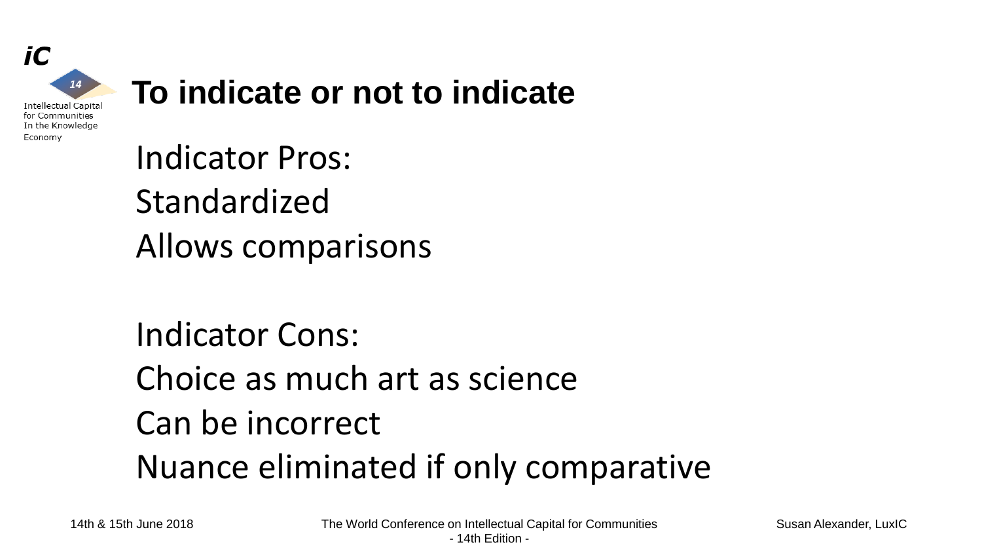

### **To indicate or not to indicate**

Indicator Pros: Standardized Allows comparisons

Indicator Cons: Choice as much art as science Can be incorrect Nuance eliminated if only comparative